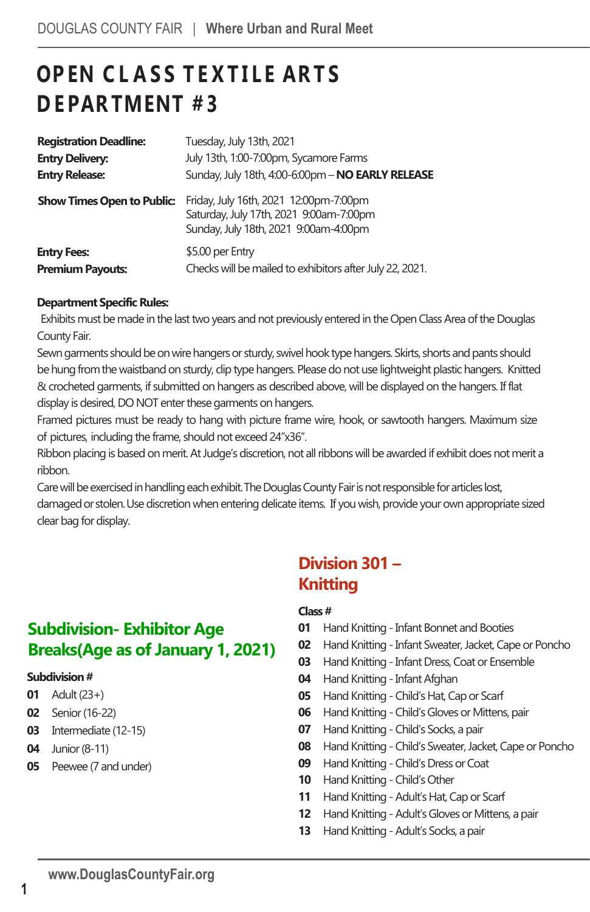# **OP EN C L A S S T E X T I L E AR T S D E PAR TMENT # 3**

| <b>Registration Deadline:</b>     | Tuesday, July 13th, 2021                                                                                                   |
|-----------------------------------|----------------------------------------------------------------------------------------------------------------------------|
| <b>Entry Delivery:</b>            | July 13th, 1:00-7:00pm, Sycamore Farms                                                                                     |
| <b>Entry Release:</b>             | Sunday, July 18th, 4:00-6:00pm - NO EARLY RELEASE                                                                          |
| <b>Show Times Open to Public:</b> | Friday, July 16th, 2021 12:00pm-7:00pm<br>Saturday, July 17th, 2021 9:00am-7:00pm<br>Sunday, July 18th, 2021 9:00am-4:00pm |
| <b>Entry Fees:</b>                | \$5.00 per Entry                                                                                                           |
| <b>Premium Payouts:</b>           | Checks will be mailed to exhibitors after July 22, 2021.                                                                   |

### **Department Specific Rules:**

Exhibits must be made in the last two years and not previously entered in the Open Class Area of the Douglas County Fair.

Sewn garments should be on wire hangers or sturdy, swivel hook type hangers. Skirts, shorts and pants should be hung fromthe waistband on sturdy, clip type hangers. Please do not use lightweight plastic hangers. Knitted & crocheted garments, if submitted on hangers as described above, will be displayed on the hangers. If flat display is desired, DO NOT enter these garments on hangers.

Framed pictures must be ready to hang with picture frame wire, hook, or sawtooth hangers. Maximum size of pictures, including the frame, should not exceed 24"x36".

Ribbon placing is based on merit. At Judge's discretion, not all ribbons will be awardedif exhibit does not merit a ribbon.

Care will be exercised in handling each exhibit. The Douglas County Fair is not responsible for articles lost, damaged or stolen.Use discretion when entering delicate items. If you wish, provide your own appropriate sized clear bag for display.

### **Subdivision- Exhibitor Age Breaks(Age as of January 1, 2021)**

### **Subdivision#**

- **01** Adult(23+)
- **02** Senior(16-22)
- **03** Intermediate (12-15)
- **04** Junior (8-11)
- **05** Peewee (7 and under)

### **Division 301 – Knitting**

### **Class #**

- **01** Hand Knitting Infant Bonnet and Booties
- **02** Hand Knitting Infant Sweater, Jacket, Cape or Poncho
- **03** Hand Knitting Infant Dress, Coat or Ensemble
- **04** Hand Knitting Infant Afghan
- **05** Hand Knitting -Child's Hat, Cap or Scarf
- **06** Hand Knitting -Child's Gloves or Mittens, pair
- **07** Hand Knitting -Child's Socks, a pair
- **08** Hand Knitting -Child's Sweater, Jacket, Cape or Poncho
- **09** Hand Knitting -Child's Dress or Coat
- 10 Hand Knitting Child's Other
- 11 Hand Knitting Adult's Hat, Cap or Scarf
- **12** Hand Knitting Adult's Gloves or Mittens, a pair
- **13** Hand Knitting Adult's Socks, a pair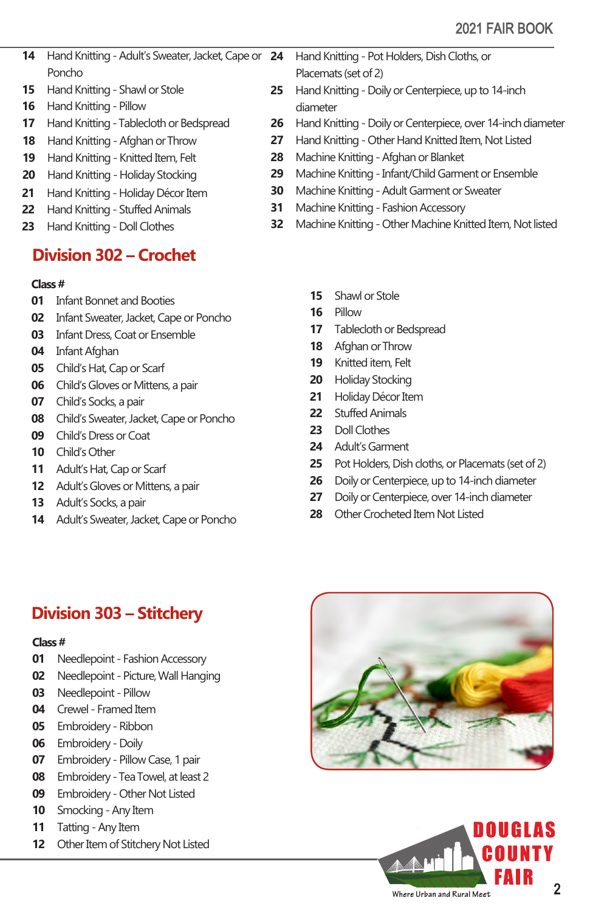- Hand Knitting Adult's Sweater, Jacket, Cape or Poncho
- Hand Knitting Shawl or Stole
- Hand Knitting Pillow
- Hand Knitting -Tablecloth or Bedspread
- Hand Knitting Afghan or Throw
- Hand Knitting Knitted Item, Felt
- Hand Knitting Holiday Stocking
- Hand Knitting Holiday Décor Item
- Hand Knitting Stuffed Animals
- Hand Knitting Doll Clothes

# **Division 302 – Crochet**

### **Class #**

- Infant Bonnet and Booties
- Infant Sweater, Jacket, Cape or Poncho
- Infant Dress, Coat or Ensemble
- Infant Afghan
- Child's Hat, Cap or Scarf
- Child's Gloves or Mittens, a pair
- Child's Socks, a pair
- Child's Sweater, Jacket, Cape or Poncho
- Child's Dress or Coat
- Child's Other
- Adult's Hat, Cap or Scarf
- Adult's Gloves or Mittens, a pair
- Adult's Socks, a pair
- Adult's Sweater, Jacket, Cape or Poncho
- Hand Knitting Pot Holders, Dish Cloths, or
- Placemats (set of 2)
- Hand Knitting Doily or Centerpiece, up to 14-inch diameter
- 26 Hand Knitting Doily or Centerpiece, over 14-inch diameter
- 27 Hand Knitting Other Hand Knitted Item, Not Listed
- Machine Knitting Afghan or Blanket
- Machine Knitting Infant/Child Garment or Ensemble
- Machine Knitting Adult Garment or Sweater
- Machine Knitting Fashion Accessory
- Machine Knitting Other Machine Knitted Item, Not listed
	- Shawl or Stole
	- Pillow
	- Tablecloth or Bedspread
	- 18 Afghan or Throw
	- Knitted item, Felt
	- Holiday Stocking
	- 21 Holiday Décor Item
	- Stuffed Animals
	- Doll Clothes
	- 24 Adult's Garment
	- Pot Holders, Dish cloths, or Placemats (set of 2)
	- Doily or Centerpiece, up to 14-inch diameter
	- Doily or Centerpiece, over 14-inch diameter
	- 28 Other Crocheted Item Not Listed

## **Division 303 – Stitchery**

### **Class #**

- Needlepoint Fashion Accessory
- Needlepoint Picture, Wall Hanging
- Needlepoint Pillow
- Crewel Framed Item
- Embroidery Ribbon
- Embroidery Doily
- Embroidery Pillow Case, 1 pair
- Embroidery -Tea Towel, at least 2
- Embroidery Other Not Listed
- Smocking Any Item
- 11 Tatting Any Item
- Other Item of Stitchery Not Listed